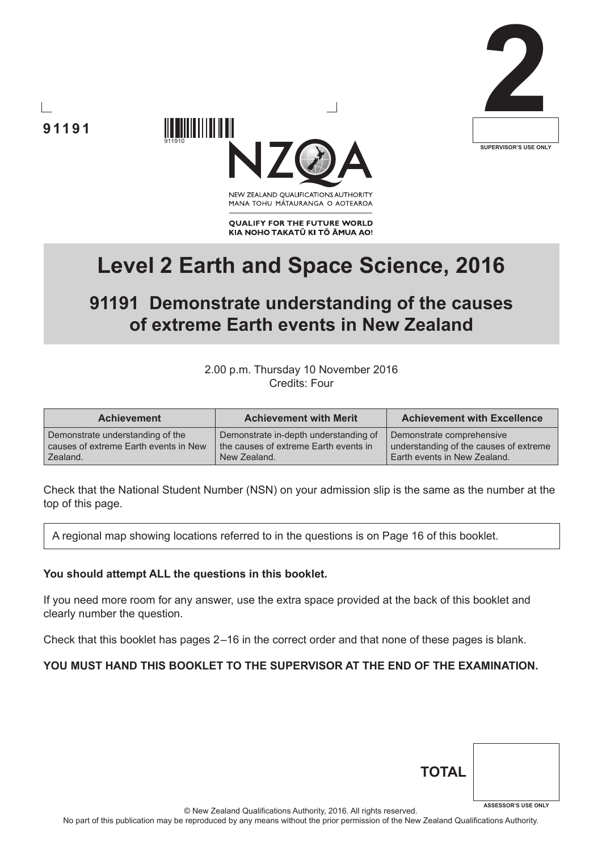



**91191**

MANA TOHU MĀTAURANGA O AOTEAROA

**QUALIFY FOR THE FUTURE WORLD** KIA NOHO TAKATŪ KI TŌ ĀMUA AO!

# **Level 2 Earth and Space Science, 2016**

# **91191 Demonstrate understanding of the causes of extreme Earth events in New Zealand**

2.00 p.m. Thursday 10 November 2016 Credits: Four

| <b>Achievement</b>                    | <b>Achievement with Merit</b>         | <b>Achievement with Excellence</b>     |  |  |
|---------------------------------------|---------------------------------------|----------------------------------------|--|--|
| Demonstrate understanding of the      | Demonstrate in-depth understanding of | Demonstrate comprehensive              |  |  |
| causes of extreme Earth events in New | the causes of extreme Earth events in | understanding of the causes of extreme |  |  |
| Zealand.                              | New Zealand.                          | Earth events in New Zealand.           |  |  |

Check that the National Student Number (NSN) on your admission slip is the same as the number at the top of this page.

A regional map showing locations referred to in the questions is on Page 16 of this booklet.

#### **You should attempt ALL the questions in this booklet.**

If you need more room for any answer, use the extra space provided at the back of this booklet and clearly number the question.

Check that this booklet has pages 2 –16 in the correct order and that none of these pages is blank.

#### **YOU MUST HAND THIS BOOKLET TO THE SUPERVISOR AT THE END OF THE EXAMINATION.**

| <b>TOTAL</b> |                            |
|--------------|----------------------------|
|              | <b>ASSESSOR'S USE ONLY</b> |

© New Zealand Qualifications Authority, 2016. All rights reserved.

No part of this publication may be reproduced by any means without the prior permission of the New Zealand Qualifications Authority.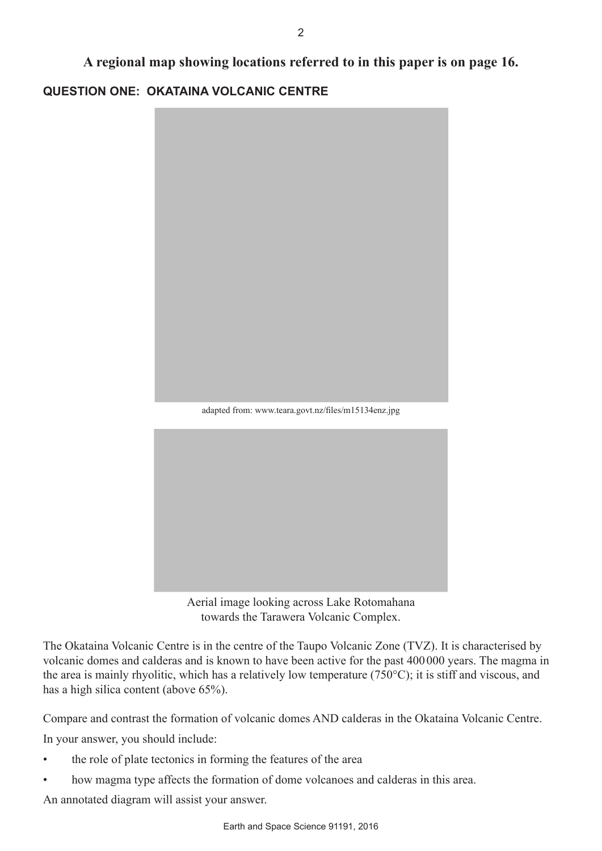**A regional map showing locations referred to in this paper is on page 16.**

**QUESTION ONE: OKATAINA VOLCANIC CENTRE**



adapted from: www.teara.govt.nz/files/m15134enz.jpg



Aerial image looking across Lake Rotomahana towards the Tarawera Volcanic Complex.

The Okataina Volcanic Centre is in the centre of the Taupo Volcanic Zone (TVZ). It is characterised by volcanic domes and calderas and is known to have been active for the past 400000 years. The magma in the area is mainly rhyolitic, which has a relatively low temperature (750°C); it is stiff and viscous, and has a high silica content (above 65%).

Compare and contrast the formation of volcanic domes AND calderas in the Okataina Volcanic Centre.

In your answer, you should include:

- the role of plate tectonics in forming the features of the area
- how magma type affects the formation of dome volcanoes and calderas in this area.

An annotated diagram will assist your answer.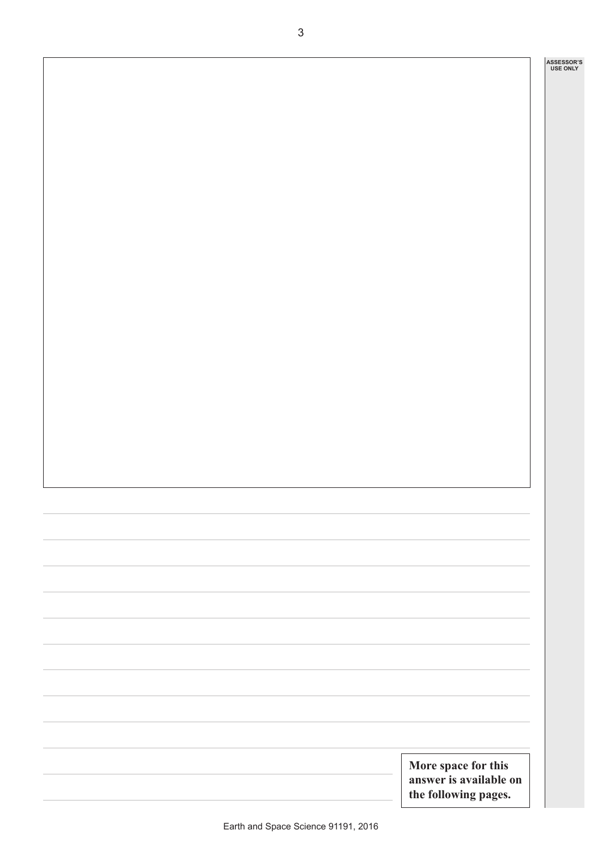**ASSESSOR'S USE ONLY**

| More space for this<br>answer is available on<br>the following pages. |
|-----------------------------------------------------------------------|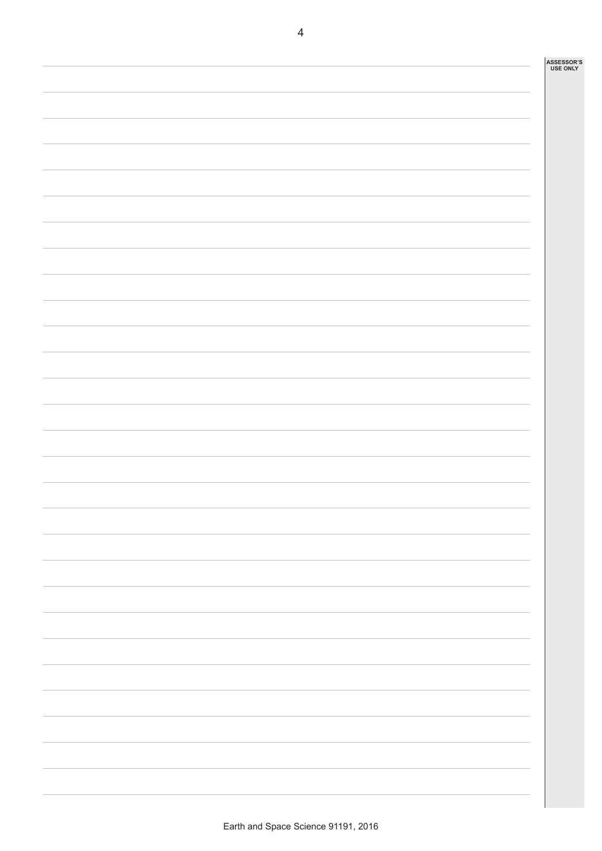| ASSESSOR'S<br>USE ONLY |
|------------------------|
|                        |
|                        |
|                        |
|                        |
|                        |
|                        |
|                        |
|                        |
|                        |
|                        |
|                        |
|                        |
|                        |
|                        |
|                        |
|                        |
|                        |
|                        |
|                        |
|                        |
|                        |
|                        |
|                        |
|                        |
|                        |
|                        |
|                        |
|                        |
|                        |
|                        |
|                        |
|                        |
|                        |
|                        |
|                        |
|                        |
|                        |
|                        |
|                        |
|                        |
|                        |
|                        |
|                        |
|                        |
|                        |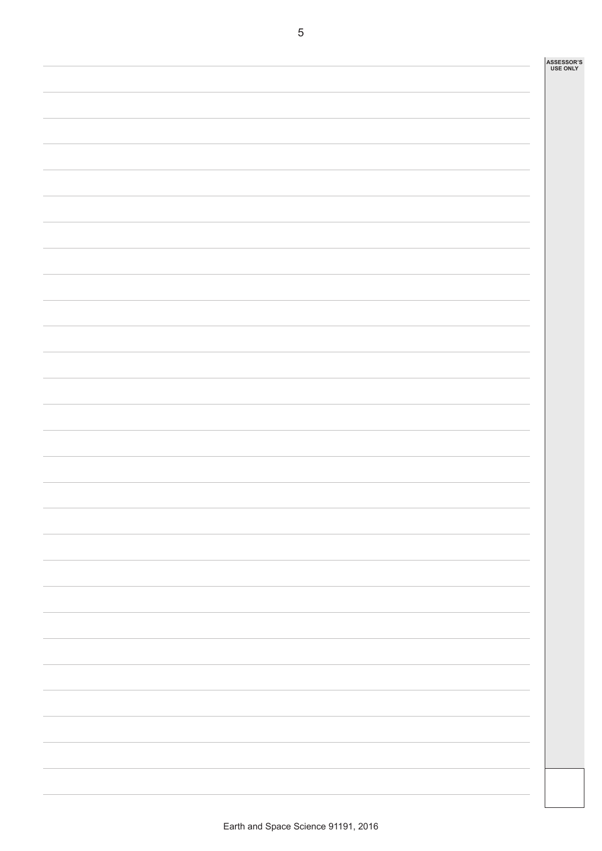| ASSESSOR'S<br>USE ONLY |
|------------------------|
|                        |
|                        |
|                        |
|                        |
|                        |
|                        |
|                        |
|                        |
|                        |
|                        |
|                        |
|                        |
|                        |
|                        |
|                        |
|                        |
|                        |
|                        |
|                        |
|                        |
|                        |
|                        |
|                        |
|                        |
|                        |
|                        |
|                        |
|                        |
|                        |
|                        |
|                        |
|                        |
|                        |
|                        |
|                        |
|                        |
|                        |
|                        |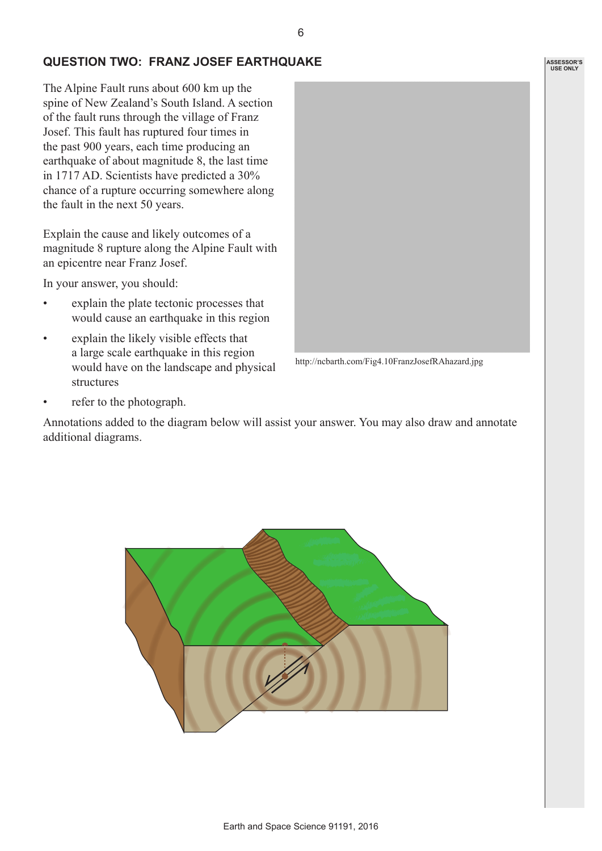## **QUESTION TWO: FRANZ JOSEF EARTHQUAKE**

The Alpine Fault runs about 600 km up the spine of New Zealand's South Island. A section of the fault runs through the village of Franz Josef. This fault has ruptured four times in the past 900 years, each time producing an earthquake of about magnitude 8, the last time in 1717 AD. Scientists have predicted a 30% chance of a rupture occurring somewhere along the fault in the next 50 years.

Explain the cause and likely outcomes of a magnitude 8 rupture along the Alpine Fault with an epicentre near Franz Josef.

In your answer, you should:

- explain the plate tectonic processes that would cause an earthquake in this region
- explain the likely visible effects that a large scale earthquake in this region would have on the landscape and physical structures
- http://ncbarth.com/Fig4.10FranzJosefRAhazard.jpg

refer to the photograph.

Annotations added to the diagram below will assist your answer. You may also draw and annotate additional diagrams.



**ASSESSOR'S USE ONLY**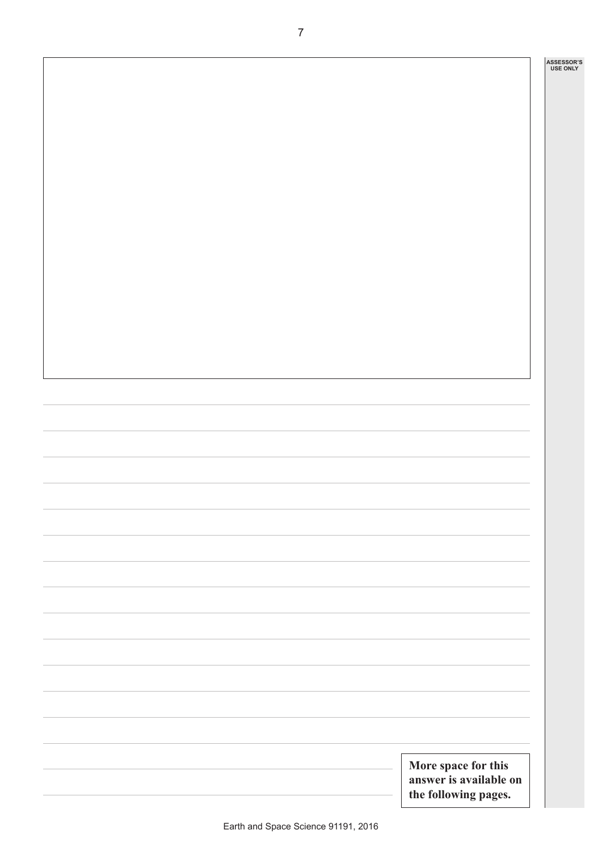**ASSESSOR'S USE ONLY**

| More space for this<br>answer is available on<br>the following pages. |
|-----------------------------------------------------------------------|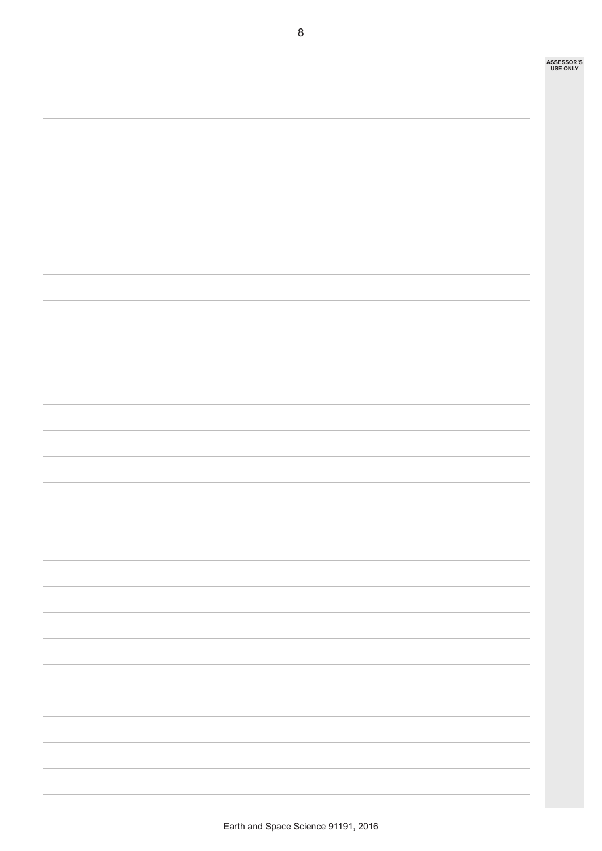| ASSESSOR'S<br>USE ONLY |
|------------------------|
|                        |
|                        |
|                        |
|                        |
|                        |
|                        |
|                        |
|                        |
|                        |
|                        |
|                        |
|                        |
|                        |
|                        |
|                        |
|                        |
|                        |
|                        |
|                        |
|                        |
|                        |
|                        |
|                        |
|                        |
|                        |
|                        |
|                        |
|                        |
|                        |
|                        |
|                        |
|                        |
|                        |
|                        |
|                        |
|                        |
|                        |
|                        |
|                        |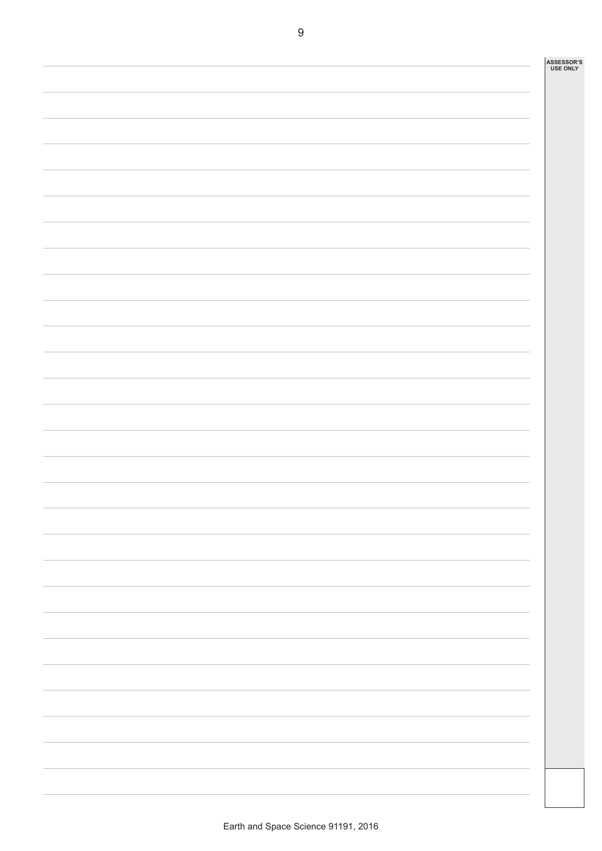| ASSESSOR'S<br>USE ONLY |
|------------------------|
|                        |
|                        |
|                        |
|                        |
|                        |
|                        |
|                        |
|                        |
|                        |
|                        |
|                        |
|                        |
|                        |
|                        |
|                        |
|                        |
|                        |
|                        |
|                        |
|                        |
|                        |
|                        |
|                        |
|                        |
|                        |
|                        |
|                        |
|                        |
|                        |
|                        |
|                        |
|                        |
|                        |
|                        |
|                        |
|                        |
|                        |
|                        |
|                        |
|                        |
|                        |
|                        |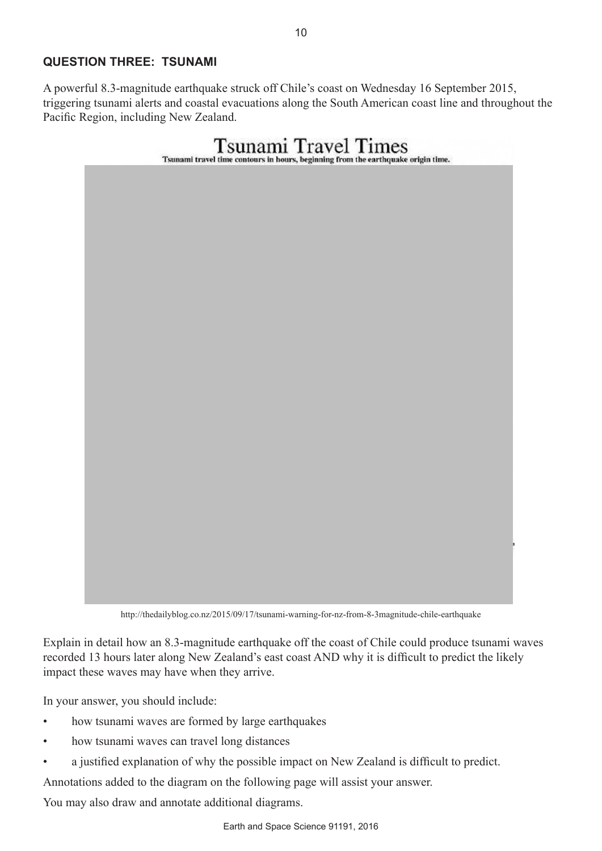### **QUESTION THREE: TSUNAMI**

A powerful 8.3-magnitude earthquake struck off Chile's coast on Wednesday 16 September 2015, triggering tsunami alerts and coastal evacuations along the South American coast line and throughout the Pacific Region, including New Zealand.



http://thedailyblog.co.nz/2015/09/17/tsunami-warning-for-nz-from-8-3magnitude-chile-earthquake

Explain in detail how an 8.3-magnitude earthquake off the coast of Chile could produce tsunami waves recorded 13 hours later along New Zealand's east coast AND why it is difficult to predict the likely impact these waves may have when they arrive.

In your answer, you should include:

- how tsunami waves are formed by large earthquakes
- how tsunami waves can travel long distances
- a justified explanation of why the possible impact on New Zealand is difficult to predict.

Annotations added to the diagram on the following page will assist your answer.

You may also draw and annotate additional diagrams.

10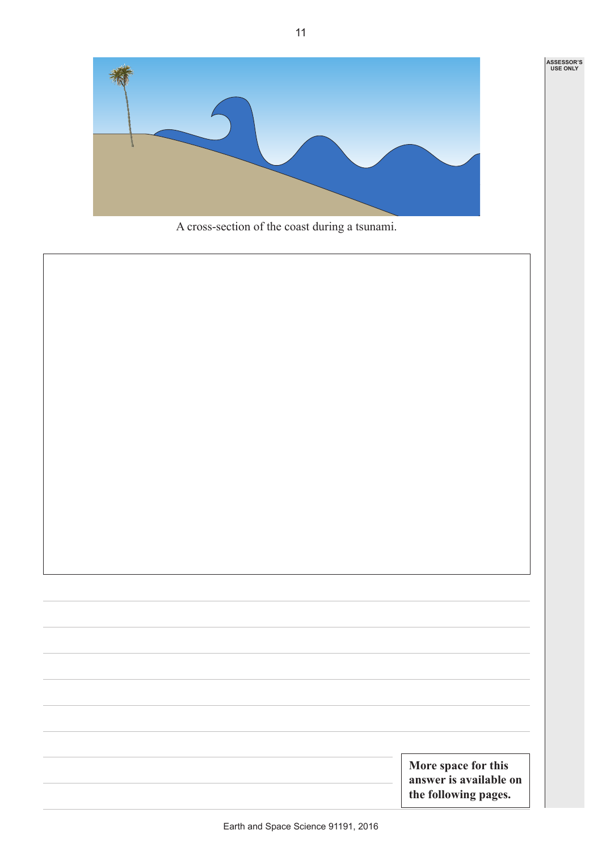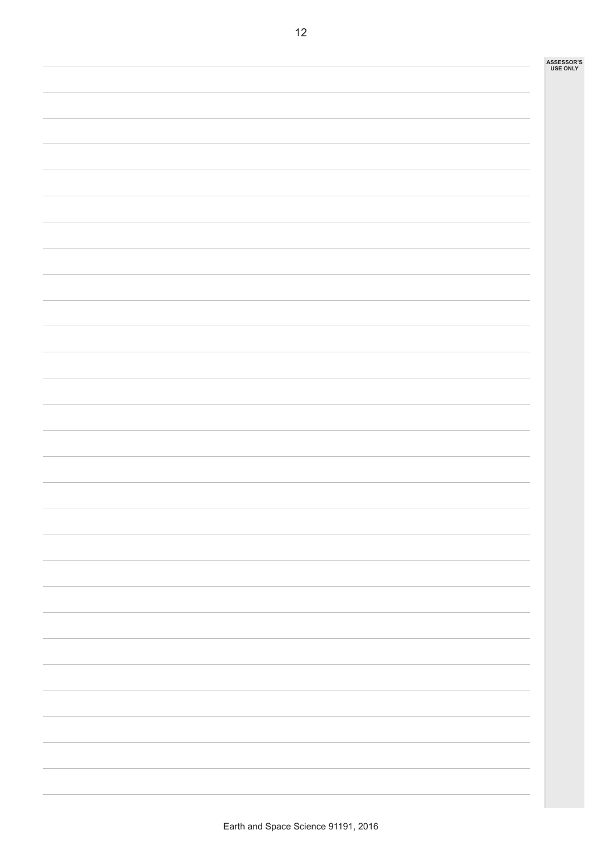|  |  | ASSESSOR'S<br>USE ONLY |
|--|--|------------------------|
|  |  |                        |
|  |  |                        |
|  |  |                        |
|  |  |                        |
|  |  |                        |
|  |  |                        |
|  |  |                        |
|  |  |                        |
|  |  |                        |
|  |  |                        |
|  |  |                        |
|  |  |                        |
|  |  |                        |
|  |  |                        |
|  |  |                        |
|  |  |                        |
|  |  |                        |
|  |  |                        |
|  |  |                        |
|  |  |                        |
|  |  |                        |
|  |  |                        |
|  |  |                        |
|  |  |                        |
|  |  |                        |
|  |  |                        |
|  |  |                        |
|  |  |                        |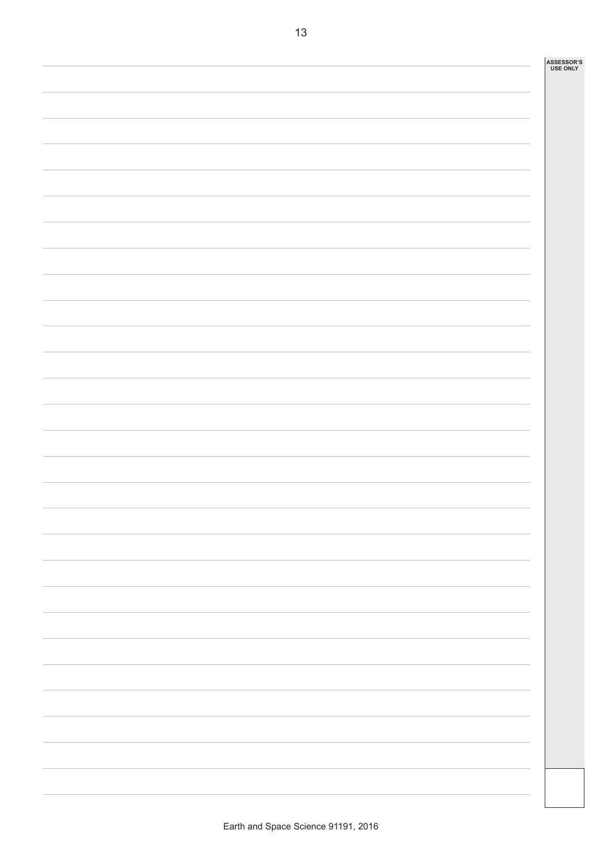|  |  | ASSESSOR'S<br>USE ONLY |
|--|--|------------------------|
|  |  |                        |
|  |  |                        |
|  |  |                        |
|  |  |                        |
|  |  |                        |
|  |  |                        |
|  |  |                        |
|  |  |                        |
|  |  |                        |
|  |  |                        |
|  |  |                        |
|  |  |                        |
|  |  |                        |
|  |  |                        |
|  |  |                        |
|  |  |                        |
|  |  |                        |
|  |  |                        |
|  |  |                        |
|  |  |                        |
|  |  |                        |
|  |  |                        |
|  |  |                        |
|  |  |                        |
|  |  |                        |
|  |  |                        |
|  |  |                        |
|  |  |                        |
|  |  |                        |

Earth and Space Science 91191, 2016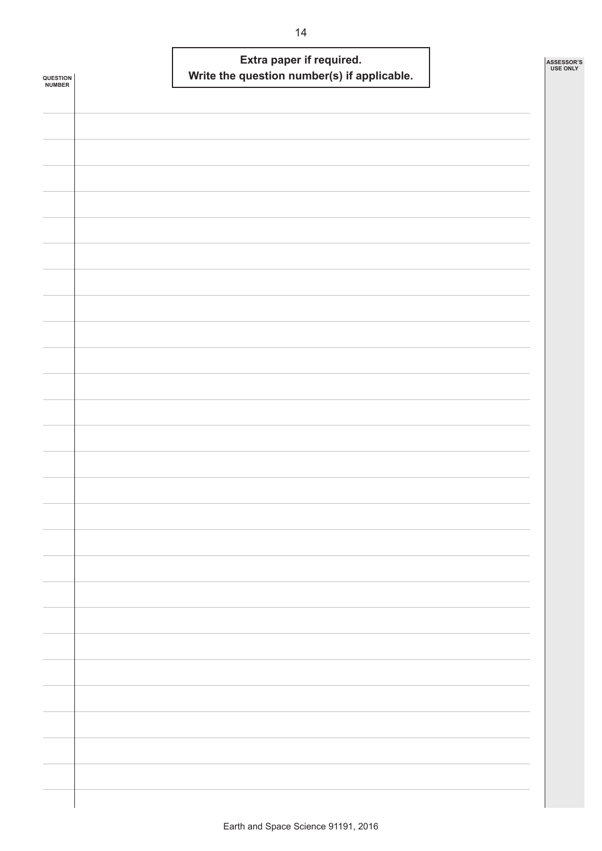| <b>QUESTION<br/>NUMBER</b> | Extra paper if required.<br>Write the question number(s) if applicable. | ASSESSOR'S<br><b>USE ONLY</b> |
|----------------------------|-------------------------------------------------------------------------|-------------------------------|
|                            |                                                                         |                               |
|                            |                                                                         |                               |
|                            |                                                                         |                               |
|                            |                                                                         |                               |
|                            |                                                                         |                               |
|                            |                                                                         |                               |
|                            |                                                                         |                               |
|                            |                                                                         |                               |
|                            |                                                                         |                               |
|                            |                                                                         |                               |
|                            |                                                                         |                               |
|                            |                                                                         |                               |
|                            |                                                                         |                               |
|                            |                                                                         |                               |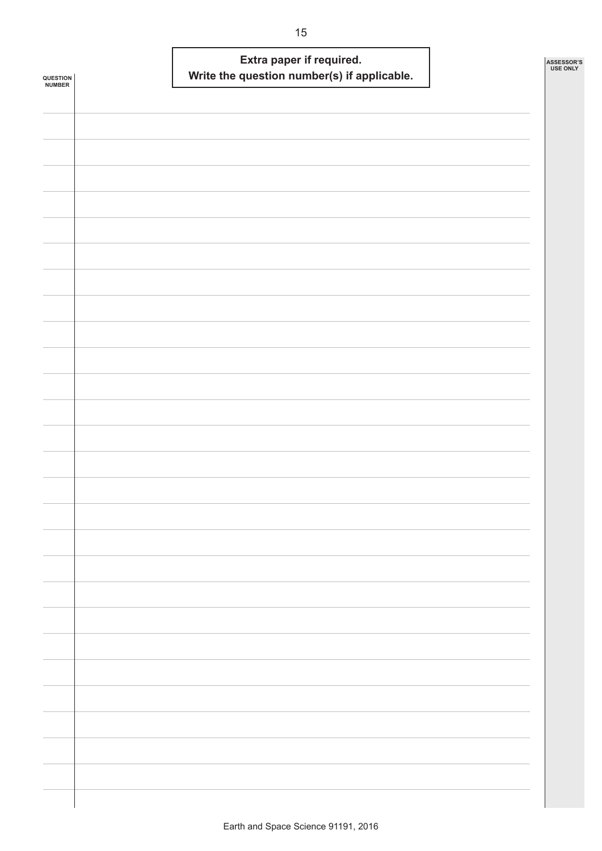| <b>QUESTION<br/>NUMBER</b> |  | Extra paper if required. | Write the question number(s) if applicable. |  | ASSESSOR'S<br><b>USE ONLY</b> |
|----------------------------|--|--------------------------|---------------------------------------------|--|-------------------------------|
|                            |  |                          |                                             |  |                               |
|                            |  |                          |                                             |  |                               |
|                            |  |                          |                                             |  |                               |
|                            |  |                          |                                             |  |                               |
|                            |  |                          |                                             |  |                               |
|                            |  |                          |                                             |  |                               |
|                            |  |                          |                                             |  |                               |
|                            |  |                          |                                             |  |                               |
|                            |  |                          |                                             |  |                               |
|                            |  |                          |                                             |  |                               |
|                            |  |                          |                                             |  |                               |
|                            |  |                          |                                             |  |                               |
|                            |  |                          |                                             |  |                               |
|                            |  |                          |                                             |  |                               |
|                            |  |                          |                                             |  |                               |
|                            |  |                          |                                             |  |                               |
|                            |  |                          |                                             |  |                               |
|                            |  |                          |                                             |  |                               |
|                            |  |                          |                                             |  |                               |
|                            |  |                          |                                             |  |                               |
|                            |  |                          |                                             |  |                               |
|                            |  |                          |                                             |  |                               |
|                            |  |                          |                                             |  |                               |
|                            |  |                          |                                             |  |                               |
|                            |  |                          |                                             |  |                               |
|                            |  |                          |                                             |  |                               |